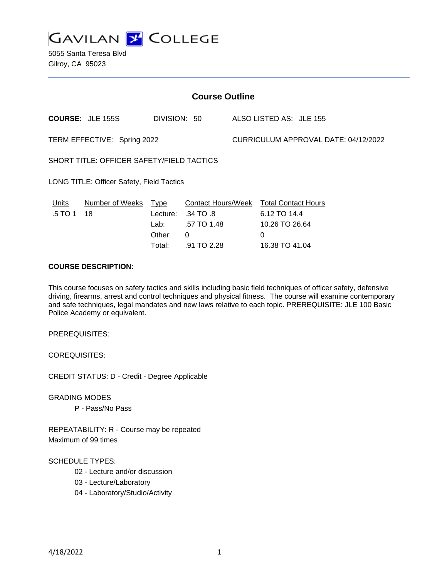

5055 Santa Teresa Blvd Gilroy, CA 95023

| <b>Course Outline</b>                     |                         |              |             |                                      |                                        |
|-------------------------------------------|-------------------------|--------------|-------------|--------------------------------------|----------------------------------------|
|                                           | <b>COURSE: JLE 155S</b> | DIVISION: 50 |             |                                      | ALSO LISTED AS: JLE 155                |
| TERM EFFECTIVE: Spring 2022               |                         |              |             | CURRICULUM APPROVAL DATE: 04/12/2022 |                                        |
| SHORT TITLE: OFFICER SAFETY/FIELD TACTICS |                         |              |             |                                      |                                        |
| LONG TITLE: Officer Safety, Field Tactics |                         |              |             |                                      |                                        |
| Units                                     | Number of Weeks         | <u>Type</u>  |             |                                      | Contact Hours/Week Total Contact Hours |
| .5 TO 1                                   | 18                      | Lecture:     | .34 TO .8   |                                      | 6.12 TO 14.4                           |
|                                           |                         | Lab: L       | .57 TO 1.48 |                                      | 10.26 TO 26.64                         |
|                                           |                         | Other:       | 0           |                                      | 0                                      |
|                                           |                         | Total:       | .91 TO 2.28 |                                      | 16.38 TO 41.04                         |

# **COURSE DESCRIPTION:**

This course focuses on safety tactics and skills including basic field techniques of officer safety, defensive driving, firearms, arrest and control techniques and physical fitness. The course will examine contemporary and safe techniques, legal mandates and new laws relative to each topic. PREREQUISITE: JLE 100 Basic Police Academy or equivalent.

PREREQUISITES:

COREQUISITES:

CREDIT STATUS: D - Credit - Degree Applicable

GRADING MODES

P - Pass/No Pass

REPEATABILITY: R - Course may be repeated Maximum of 99 times

### SCHEDULE TYPES:

- 02 Lecture and/or discussion
- 03 Lecture/Laboratory
- 04 Laboratory/Studio/Activity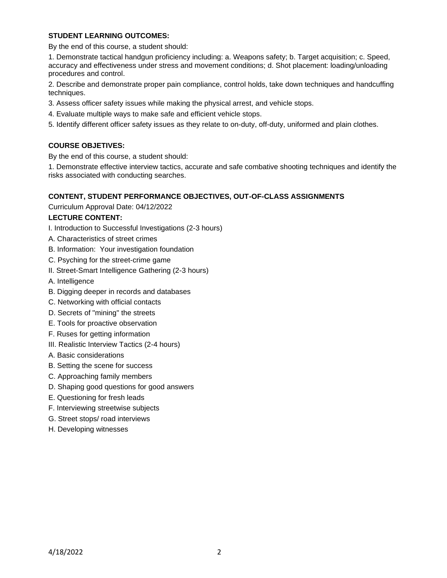# **STUDENT LEARNING OUTCOMES:**

By the end of this course, a student should:

1. Demonstrate tactical handgun proficiency including: a. Weapons safety; b. Target acquisition; c. Speed, accuracy and effectiveness under stress and movement conditions; d. Shot placement: loading/unloading procedures and control.

2. Describe and demonstrate proper pain compliance, control holds, take down techniques and handcuffing techniques.

- 3. Assess officer safety issues while making the physical arrest, and vehicle stops.
- 4. Evaluate multiple ways to make safe and efficient vehicle stops.
- 5. Identify different officer safety issues as they relate to on-duty, off-duty, uniformed and plain clothes.

# **COURSE OBJETIVES:**

By the end of this course, a student should:

1. Demonstrate effective interview tactics, accurate and safe combative shooting techniques and identify the risks associated with conducting searches.

# **CONTENT, STUDENT PERFORMANCE OBJECTIVES, OUT-OF-CLASS ASSIGNMENTS**

Curriculum Approval Date: 04/12/2022

# **LECTURE CONTENT:**

- I. Introduction to Successful Investigations (2-3 hours)
- A. Characteristics of street crimes
- B. Information: Your investigation foundation
- C. Psyching for the street-crime game
- II. Street-Smart Intelligence Gathering (2-3 hours)
- A. Intelligence
- B. Digging deeper in records and databases
- C. Networking with official contacts
- D. Secrets of "mining" the streets
- E. Tools for proactive observation
- F. Ruses for getting information
- III. Realistic Interview Tactics (2-4 hours)
- A. Basic considerations
- B. Setting the scene for success
- C. Approaching family members
- D. Shaping good questions for good answers
- E. Questioning for fresh leads
- F. Interviewing streetwise subjects
- G. Street stops/ road interviews
- H. Developing witnesses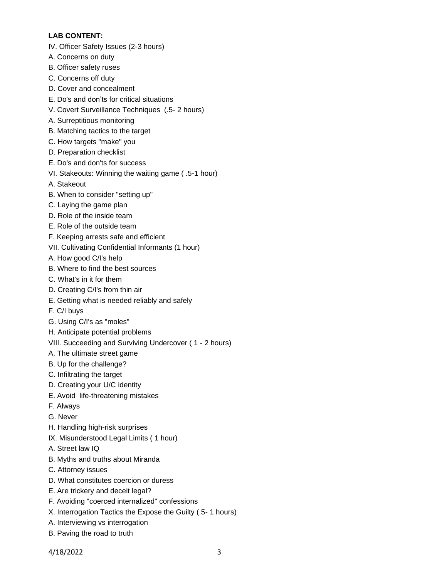# **LAB CONTENT:**

- IV. Officer Safety Issues (2-3 hours)
- A. Concerns on duty
- B. Officer safety ruses
- C. Concerns off duty
- D. Cover and concealment
- E. Do's and don'ts for critical situations
- V. Covert Surveillance Techniques (.5- 2 hours)
- A. Surreptitious monitoring
- B. Matching tactics to the target
- C. How targets "make" you
- D. Preparation checklist
- E. Do's and don'ts for success
- VI. Stakeouts: Winning the waiting game ( .5-1 hour)
- A. Stakeout
- B. When to consider "setting up"
- C. Laying the game plan
- D. Role of the inside team
- E. Role of the outside team
- F. Keeping arrests safe and efficient
- VII. Cultivating Confidential Informants (1 hour)
- A. How good C/I's help
- B. Where to find the best sources
- C. What's in it for them
- D. Creating C/I's from thin air
- E. Getting what is needed reliably and safely
- F. C/I buys
- G. Using C/I's as "moles"
- H. Anticipate potential problems
- VIII. Succeeding and Surviving Undercover ( 1 2 hours)
- A. The ultimate street game
- B. Up for the challenge?
- C. Infiltrating the target
- D. Creating your U/C identity
- E. Avoid life-threatening mistakes
- F. Always
- G. Never
- H. Handling high-risk surprises
- IX. Misunderstood Legal Limits ( 1 hour)
- A. Street law IQ
- B. Myths and truths about Miranda
- C. Attorney issues
- D. What constitutes coercion or duress
- E. Are trickery and deceit legal?
- F. Avoiding "coerced internalized" confessions
- X. Interrogation Tactics the Expose the Guilty (.5- 1 hours)
- A. Interviewing vs interrogation
- B. Paving the road to truth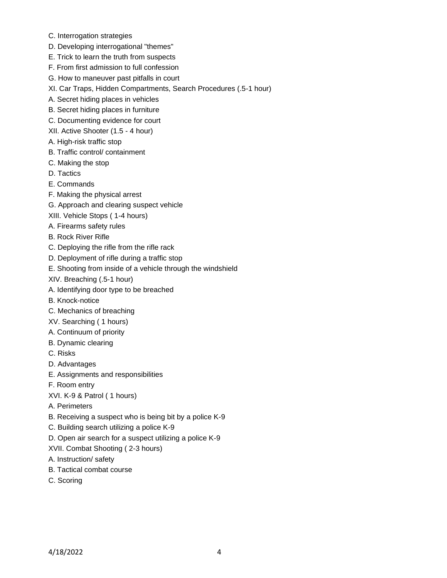- C. Interrogation strategies
- D. Developing interrogational "themes"
- E. Trick to learn the truth from suspects
- F. From first admission to full confession
- G. How to maneuver past pitfalls in court
- XI. Car Traps, Hidden Compartments, Search Procedures (.5-1 hour)
- A. Secret hiding places in vehicles
- B. Secret hiding places in furniture
- C. Documenting evidence for court
- XII. Active Shooter (1.5 4 hour)
- A. High-risk traffic stop
- B. Traffic control/ containment
- C. Making the stop
- D. Tactics
- E. Commands
- F. Making the physical arrest
- G. Approach and clearing suspect vehicle
- XIII. Vehicle Stops ( 1-4 hours)
- A. Firearms safety rules
- B. Rock River Rifle
- C. Deploying the rifle from the rifle rack
- D. Deployment of rifle during a traffic stop
- E. Shooting from inside of a vehicle through the windshield
- XIV. Breaching (.5-1 hour)
- A. Identifying door type to be breached
- B. Knock-notice
- C. Mechanics of breaching
- XV. Searching ( 1 hours)
- A. Continuum of priority
- B. Dynamic clearing
- C. Risks
- D. Advantages
- E. Assignments and responsibilities
- F. Room entry
- XVI. K-9 & Patrol ( 1 hours)
- A. Perimeters
- B. Receiving a suspect who is being bit by a police K-9
- C. Building search utilizing a police K-9
- D. Open air search for a suspect utilizing a police K-9
- XVII. Combat Shooting ( 2-3 hours)
- A. Instruction/ safety
- B. Tactical combat course
- C. Scoring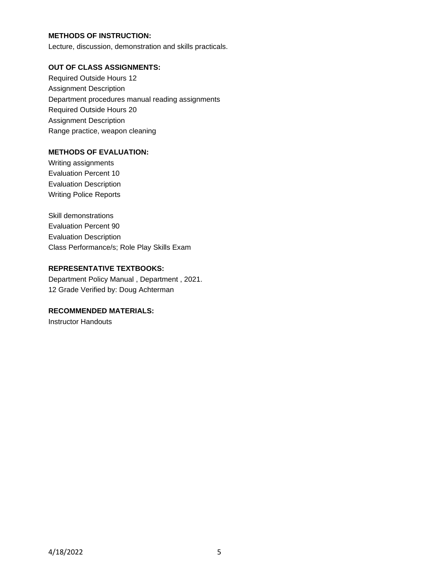# **METHODS OF INSTRUCTION:**

Lecture, discussion, demonstration and skills practicals.

### **OUT OF CLASS ASSIGNMENTS:**

Required Outside Hours 12 Assignment Description Department procedures manual reading assignments Required Outside Hours 20 Assignment Description Range practice, weapon cleaning

# **METHODS OF EVALUATION:**

Writing assignments Evaluation Percent 10 Evaluation Description Writing Police Reports

Skill demonstrations Evaluation Percent 90 Evaluation Description Class Performance/s; Role Play Skills Exam

### **REPRESENTATIVE TEXTBOOKS:**

Department Policy Manual , Department , 2021. 12 Grade Verified by: Doug Achterman

# **RECOMMENDED MATERIALS:**

Instructor Handouts